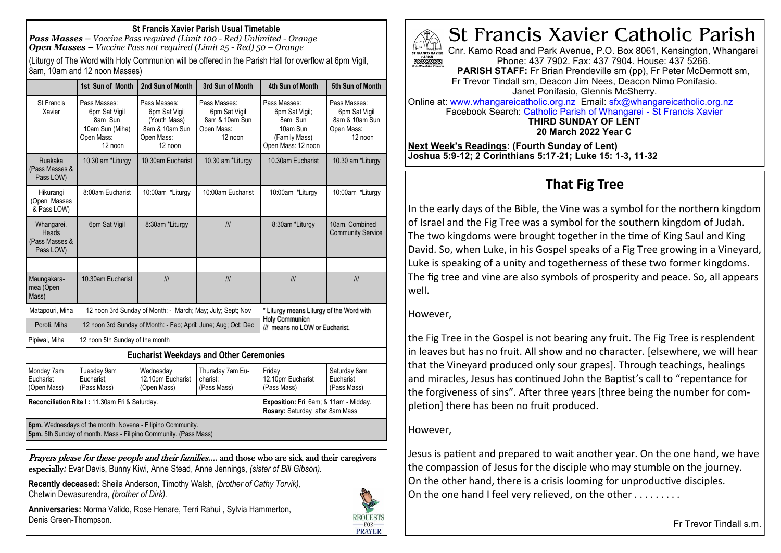#### **St Francis Xavier Parish Usual Timetable**

*Pass Masses – Vaccine Pass required (Limit 100 - Red) Unlimited - Orange Open Masses – Vaccine Pass not required (Limit 25 - Red) 50 – Orange*

(Liturgy of The Word with Holy Communion will be offered in the Parish Hall for overflow at 6pm Vigil, 8am, 10am and 12 noon Masses)

|                                                    | 1st Sun of Month                                                                                                               | 2nd Sun of Month                                                                         | 3rd Sun of Month                                                         | 4th Sun of Month                                                                                    | 5th Sun of Month                                                         |
|----------------------------------------------------|--------------------------------------------------------------------------------------------------------------------------------|------------------------------------------------------------------------------------------|--------------------------------------------------------------------------|-----------------------------------------------------------------------------------------------------|--------------------------------------------------------------------------|
| <b>St Francis</b><br>Xavier                        | Pass Masses:<br>6pm Sat Vigil<br>8am Sun<br>10am Sun (Miha)<br>Open Mass:<br>12 noon                                           | Pass Masses:<br>6pm Sat Vigil<br>(Youth Mass)<br>8am & 10am Sun<br>Open Mass:<br>12 noon | Pass Masses:<br>6pm Sat Vigil<br>8am & 10am Sun<br>Open Mass:<br>12 noon | Pass Masses:<br>6pm Sat Vigil;<br>8am Sun<br>10am Sun<br>(Family Mass)<br>Open Mass: 12 noon        | Pass Masses:<br>6pm Sat Vigil<br>8am & 10am Sun<br>Open Mass:<br>12 noon |
| Ruakaka<br>(Pass Masses &<br>Pass LOW)             | 10.30 am *Liturgy                                                                                                              | 10.30am Eucharist                                                                        | 10.30 am *Liturgy                                                        | 10.30am Eucharist                                                                                   | 10.30 am *Liturgy                                                        |
| Hikurangi<br>(Open Masses<br>& Pass LOW)           | 8:00am Eucharist                                                                                                               | 10:00am *Liturgy                                                                         | 10:00am Eucharist                                                        | 10:00am *Liturgy                                                                                    | 10:00am *Liturgy                                                         |
| Whangarei.<br>Heads<br>(Pass Masses &<br>Pass LOW) | 6pm Sat Vigil                                                                                                                  | 8:30am *Liturgy                                                                          | III                                                                      | 8:30am *Liturgy                                                                                     | 10am. Combined<br><b>Community Service</b>                               |
|                                                    |                                                                                                                                |                                                                                          |                                                                          |                                                                                                     |                                                                          |
| Maungakara-<br>mea (Open<br>Mass)                  | 10.30am Eucharist                                                                                                              | III                                                                                      | III                                                                      | III                                                                                                 | III                                                                      |
| Matapouri, Miha                                    | 12 noon 3rd Sunday of Month: - March; May; July; Sept; Nov                                                                     |                                                                                          |                                                                          | * Liturgy means Liturgy of the Word with<br><b>Holy Communion</b><br>/// means no LOW or Eucharist. |                                                                          |
| Poroti, Miha                                       | 12 noon 3rd Sunday of Month: - Feb; April; June; Aug; Oct; Dec                                                                 |                                                                                          |                                                                          |                                                                                                     |                                                                          |
| Pipiwai, Miha                                      | 12 noon 5th Sunday of the month                                                                                                |                                                                                          |                                                                          |                                                                                                     |                                                                          |
|                                                    |                                                                                                                                |                                                                                          | <b>Eucharist Weekdays and Other Ceremonies</b>                           |                                                                                                     |                                                                          |
| Monday 7am<br>Eucharist<br>(Open Mass)             | Tuesday 9am<br>Eucharist:<br>(Pass Mass)                                                                                       | Wednesday<br>12.10pm Eucharist<br>(Open Mass)                                            | Thursday 7am Eu-<br>charist:<br>(Pass Mass)                              | Friday<br>12.10pm Eucharist<br>(Pass Mass)                                                          | Saturday 8am<br>Eucharist<br>(Pass Mass)                                 |
| Reconciliation Rite I: 11.30am Fri & Saturday.     |                                                                                                                                |                                                                                          |                                                                          | Exposition: Fri 6am; & 11am - Midday.<br>Rosary: Saturday after 8am Mass                            |                                                                          |
|                                                    | 6pm. Wednesdays of the month. Novena - Filipino Community.<br>5pm. 5th Sunday of month. Mass - Filipino Community. (Pass Mass) |                                                                                          |                                                                          |                                                                                                     |                                                                          |

Prayers please for these people and their families.... and those who are sick and their caregivers especially*:* Evar Davis, Bunny Kiwi, Anne Stead, Anne Jennings, *(sister of Bill Gibson).*

**Recently deceased:** Sheila Anderson, Timothy Walsh, *(brother of Cathy Torvik),*  Chetwin Dewasurendra, *(brother of Dirk).*

**Anniversaries:** Norma Valido, Rose Henare, Terri Rahui , Sylvia Hammerton, Denis Green-Thompson.





Cnr. Kamo Road and Park Avenue, P.O. Box 8061, Kensington, Whangarei ST FRANCIS XAVIER Phone: 437 7902. Fax: 437 7904. House: 437 5266.

**PARISH STAFF:** Fr Brian Prendeville sm (pp), Fr Peter McDermott sm, Fr Trevor Tindall sm, Deacon Jim Nees, Deacon Nimo Ponifasio. Janet Ponifasio, Glennis McSherry.

Online at: www.whangareicatholic.org.nz Email: sfx@whangareicatholic.org.nz Facebook Search: Catholic Parish of Whangarei - St Francis Xavier **THIRD SUNDAY OF LENT 20 March 2022 Year C**

**Next Week's Readings: (Fourth Sunday of Lent) Joshua 5:9-12; 2 Corinthians 5:17-21; Luke 15: 1-3, 11-32**

## **That Fig Tree**

In the early days of the Bible, the Vine was a symbol for the northern kingdom of Israel and the Fig Tree was a symbol for the southern kingdom of Judah. The two kingdoms were brought together in the time of King Saul and King David. So, when Luke, in his Gospel speaks of a Fig Tree growing in a Vineyard, Luke is speaking of a unity and togetherness of these two former kingdoms. The fig tree and vine are also symbols of prosperity and peace. So, all appears well.

#### However,

the Fig Tree in the Gospel is not bearing any fruit. The Fig Tree is resplendent in leaves but has no fruit. All show and no character. [elsewhere, we will hear that the Vineyard produced only sour grapes]. Through teachings, healings and miracles, Jesus has continued John the Baptist's call to "repentance for the forgiveness of sins". After three years [three being the number for completion] there has been no fruit produced.

#### However,

Jesus is patient and prepared to wait another year. On the one hand, we have the compassion of Jesus for the disciple who may stumble on the journey. On the other hand, there is a crisis looming for unproductive disciples. On the one hand I feel very relieved, on the other . . . . . . . . .

Fr Trevor Tindall s.m.